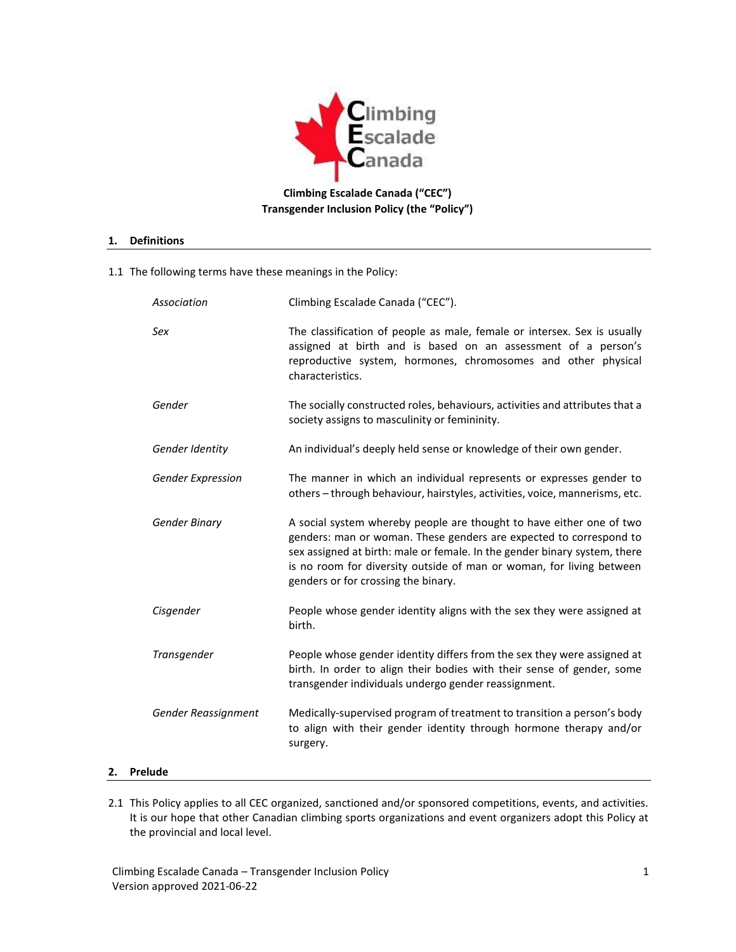

**Climbing Escalade Canada ("CEC") Transgender Inclusion Policy (the "Policy")**

#### **1. Definitions**

1.1 The following terms have these meanings in the Policy:

|    | Association              | Climbing Escalade Canada ("CEC").                                                                                                                                                                                                                                                                                                      |  |
|----|--------------------------|----------------------------------------------------------------------------------------------------------------------------------------------------------------------------------------------------------------------------------------------------------------------------------------------------------------------------------------|--|
|    | Sex                      | The classification of people as male, female or intersex. Sex is usually<br>assigned at birth and is based on an assessment of a person's<br>reproductive system, hormones, chromosomes and other physical<br>characteristics.                                                                                                         |  |
|    | Gender                   | The socially constructed roles, behaviours, activities and attributes that a<br>society assigns to masculinity or femininity.                                                                                                                                                                                                          |  |
|    | Gender Identity          | An individual's deeply held sense or knowledge of their own gender.                                                                                                                                                                                                                                                                    |  |
|    | <b>Gender Expression</b> | The manner in which an individual represents or expresses gender to<br>others - through behaviour, hairstyles, activities, voice, mannerisms, etc.                                                                                                                                                                                     |  |
|    | <b>Gender Binary</b>     | A social system whereby people are thought to have either one of two<br>genders: man or woman. These genders are expected to correspond to<br>sex assigned at birth: male or female. In the gender binary system, there<br>is no room for diversity outside of man or woman, for living between<br>genders or for crossing the binary. |  |
|    | Cisgender                | People whose gender identity aligns with the sex they were assigned at<br>birth.                                                                                                                                                                                                                                                       |  |
|    | Transgender              | People whose gender identity differs from the sex they were assigned at<br>birth. In order to align their bodies with their sense of gender, some<br>transgender individuals undergo gender reassignment.                                                                                                                              |  |
|    | Gender Reassignment      | Medically-supervised program of treatment to transition a person's body<br>to align with their gender identity through hormone therapy and/or<br>surgery.                                                                                                                                                                              |  |
| 2. | Prelude                  |                                                                                                                                                                                                                                                                                                                                        |  |

2.1 This Policy applies to all CEC organized, sanctioned and/or sponsored competitions, events, and activities. It is our hope that other Canadian climbing sports organizations and event organizers adopt this Policy at the provincial and local level.

Climbing Escalade Canada – Transgender Inclusion Policy 1 Version approved 2021-06-22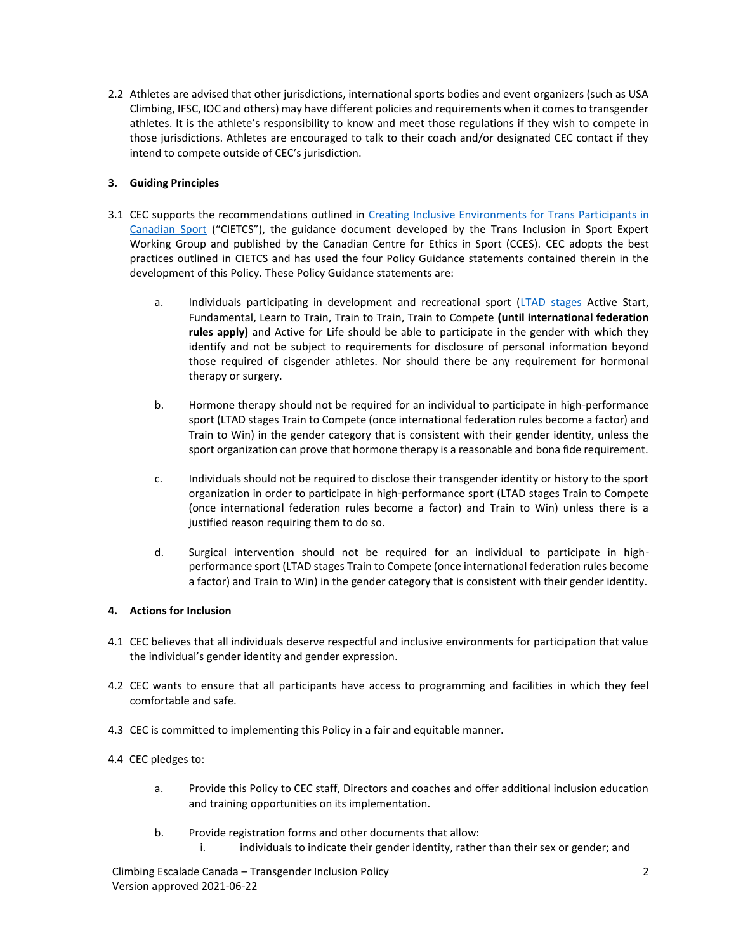2.2 Athletes are advised that other jurisdictions, international sports bodies and event organizers (such as USA Climbing, IFSC, IOC and others) may have different policies and requirements when it comes to transgender athletes. It is the athlete's responsibility to know and meet those regulations if they wish to compete in those jurisdictions. Athletes are encouraged to talk to their coach and/or designated CEC contact if they intend to compete outside of CEC's jurisdiction.

# **3. Guiding Principles**

- 3.1 CEC supports the recommendations outlined in Creating Inclusive Environments for Trans Participants in [Canadian Sport](https://cces.ca/sites/default/files/content/docs/pdf/creating_inclusive_environments_for_trans_participants_in_canadian_sport_practice_and_policy_template_final_e.pdf) ("CIETCS"), the guidance document developed by the Trans Inclusion in Sport Expert Working Group and published by the Canadian Centre for Ethics in Sport (CCES). CEC adopts the best practices outlined in CIETCS and has used the four Policy Guidance statements contained therein in the development of this Policy. These Policy Guidance statements are:
	- a. Individuals participating in development and recreational sport [\(LTAD stages](https://climbingcanada.ca/en/long-term-athlete-development/) Active Start, Fundamental, Learn to Train, Train to Train, Train to Compete **(until international federation rules apply)** and Active for Life should be able to participate in the gender with which they identify and not be subject to requirements for disclosure of personal information beyond those required of cisgender athletes. Nor should there be any requirement for hormonal therapy or surgery.
	- b. Hormone therapy should not be required for an individual to participate in high-performance sport (LTAD stages Train to Compete (once international federation rules become a factor) and Train to Win) in the gender category that is consistent with their gender identity, unless the sport organization can prove that hormone therapy is a reasonable and bona fide requirement.
	- c. Individuals should not be required to disclose their transgender identity or history to the sport organization in order to participate in high-performance sport (LTAD stages Train to Compete (once international federation rules become a factor) and Train to Win) unless there is a justified reason requiring them to do so.
	- d. Surgical intervention should not be required for an individual to participate in highperformance sport (LTAD stages Train to Compete (once international federation rules become a factor) and Train to Win) in the gender category that is consistent with their gender identity.

# **4. Actions for Inclusion**

- 4.1 CEC believes that all individuals deserve respectful and inclusive environments for participation that value the individual's gender identity and gender expression.
- 4.2 CEC wants to ensure that all participants have access to programming and facilities in which they feel comfortable and safe.
- 4.3 CEC is committed to implementing this Policy in a fair and equitable manner.
- 4.4 CEC pledges to:
	- a. Provide this Policy to CEC staff, Directors and coaches and offer additional inclusion education and training opportunities on its implementation.
	- b. Provide registration forms and other documents that allow:
		- i. individuals to indicate their gender identity, rather than their sex or gender; and

Climbing Escalade Canada – Transgender Inclusion Policy 2 Version approved 2021-06-22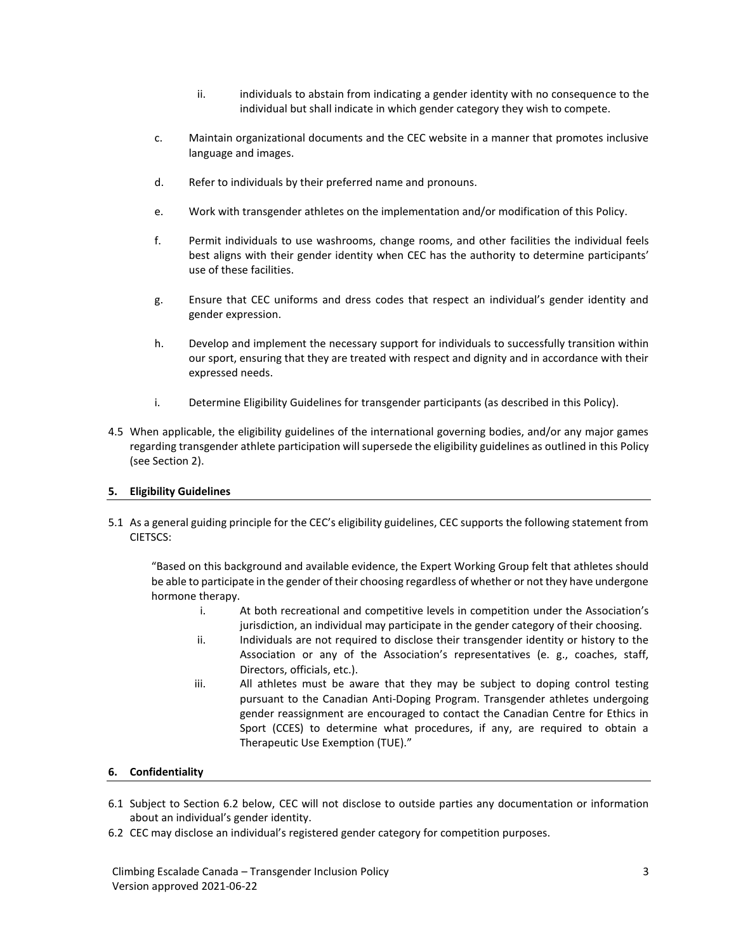- ii. individuals to abstain from indicating a gender identity with no consequence to the individual but shall indicate in which gender category they wish to compete.
- c. Maintain organizational documents and the CEC website in a manner that promotes inclusive language and images.
- d. Refer to individuals by their preferred name and pronouns.
- e. Work with transgender athletes on the implementation and/or modification of this Policy.
- f. Permit individuals to use washrooms, change rooms, and other facilities the individual feels best aligns with their gender identity when CEC has the authority to determine participants' use of these facilities.
- g. Ensure that CEC uniforms and dress codes that respect an individual's gender identity and gender expression.
- h. Develop and implement the necessary support for individuals to successfully transition within our sport, ensuring that they are treated with respect and dignity and in accordance with their expressed needs.
- i. Determine Eligibility Guidelines for transgender participants (as described in this Policy).
- 4.5 When applicable, the eligibility guidelines of the international governing bodies, and/or any major games regarding transgender athlete participation will supersede the eligibility guidelines as outlined in this Policy (see Section 2).

# **5. Eligibility Guidelines**

5.1 As a general guiding principle for the CEC's eligibility guidelines, CEC supports the following statement from CIETSCS:

"Based on this background and available evidence, the Expert Working Group felt that athletes should be able to participate in the gender of their choosing regardless of whether or not they have undergone hormone therapy.

- i. At both recreational and competitive levels in competition under the Association's jurisdiction, an individual may participate in the gender category of their choosing.
- ii. Individuals are not required to disclose their transgender identity or history to the Association or any of the Association's representatives (e. g., coaches, staff, Directors, officials, etc.).
- iii. All athletes must be aware that they may be subject to doping control testing pursuant to the Canadian Anti-Doping Program. Transgender athletes undergoing gender reassignment are encouraged to contact the Canadian Centre for Ethics in Sport (CCES) to determine what procedures, if any, are required to obtain a Therapeutic Use Exemption (TUE)."

# **6. Confidentiality**

- 6.1 Subject to Section 6.2 below, CEC will not disclose to outside parties any documentation or information about an individual's gender identity.
- 6.2 CEC may disclose an individual's registered gender category for competition purposes.